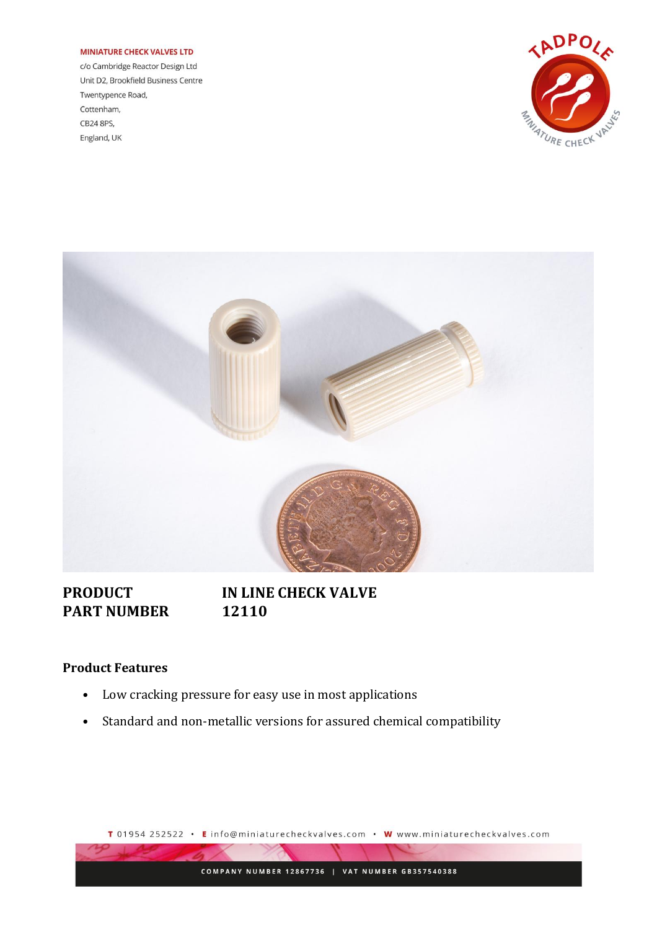#### **MINIATURE CHECK VALVES LTD**

c/o Cambridge Reactor Design Ltd Unit D2, Brookfield Business Centre Twentypence Road, Cottenham, CB24 8PS, England, UK





# **PART NUMBER 12110**

# **PRODUCT IN LINE CHECK VALVE**

### **Product Features**

- Low cracking pressure for easy use in most applications
- Standard and non-metallic versions for assured chemical compatibility

T 01954 252522 • Einfo@miniaturecheckvalves.com • W www.miniaturecheckvalves.com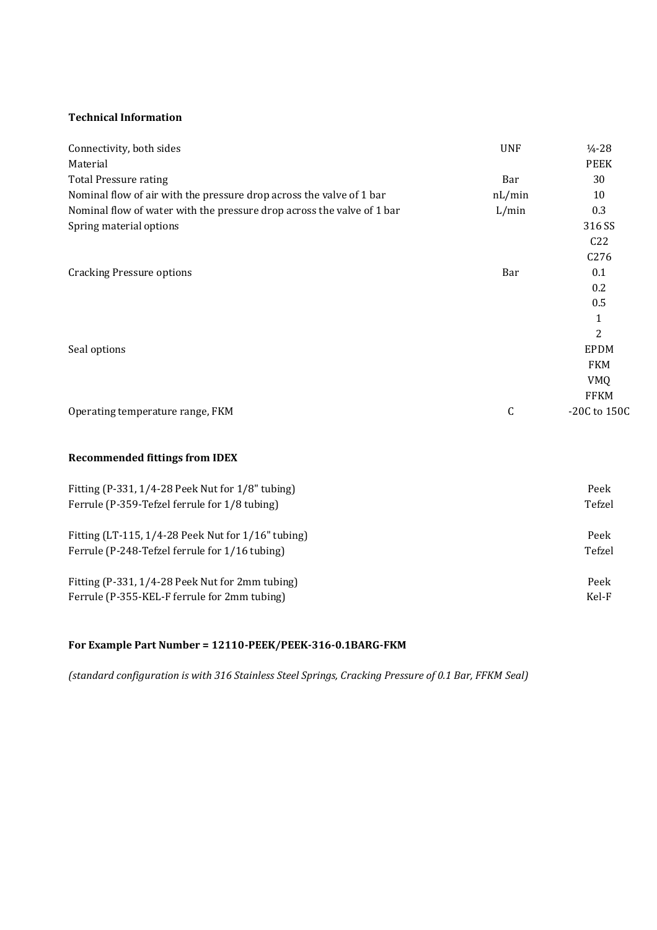### **Technical Information**

| Connectivity, both sides                                               | <b>UNF</b> | $\frac{1}{4} - 28$ |
|------------------------------------------------------------------------|------------|--------------------|
| Material                                                               |            | <b>PEEK</b>        |
| <b>Total Pressure rating</b>                                           | Bar        | 30                 |
| Nominal flow of air with the pressure drop across the valve of 1 bar   | nL/min     | 10                 |
| Nominal flow of water with the pressure drop across the valve of 1 bar | L/min      | 0.3                |
| Spring material options                                                |            | 316 SS             |
|                                                                        |            | C22                |
|                                                                        |            | C276               |
| <b>Cracking Pressure options</b>                                       | Bar        | 0.1                |
|                                                                        |            | 0.2                |
|                                                                        |            | 0.5                |
|                                                                        |            | $\mathbf{1}$       |
|                                                                        |            | 2                  |
| Seal options                                                           |            | <b>EPDM</b>        |
|                                                                        |            | <b>FKM</b>         |
|                                                                        |            | <b>VMQ</b>         |
|                                                                        |            | <b>FFKM</b>        |
| Operating temperature range, FKM                                       | C          | -20C to 150C       |
| <b>Recommended fittings from IDEX</b>                                  |            |                    |
| Fitting (P-331, 1/4-28 Peek Nut for 1/8" tubing)                       |            | Peek               |
| Ferrule (P-359-Tefzel ferrule for 1/8 tubing)                          |            | Tefzel             |
| Fitting (LT-115, 1/4-28 Peek Nut for 1/16" tubing)                     |            | Peek               |
| Ferrule (P-248-Tefzel ferrule for 1/16 tubing)                         |            | Tefzel             |
| Fitting (P-331, 1/4-28 Peek Nut for 2mm tubing)                        |            | Peek               |
| Ferrule (P-355-KEL-F ferrule for 2mm tubing)                           |            | Kel-F              |

## **For Example Part Number = 12110-PEEK/PEEK-316-0.1BARG-FKM**

*(standard configuration is with 316 Stainless Steel Springs, Cracking Pressure of 0.1 Bar, FFKM Seal)*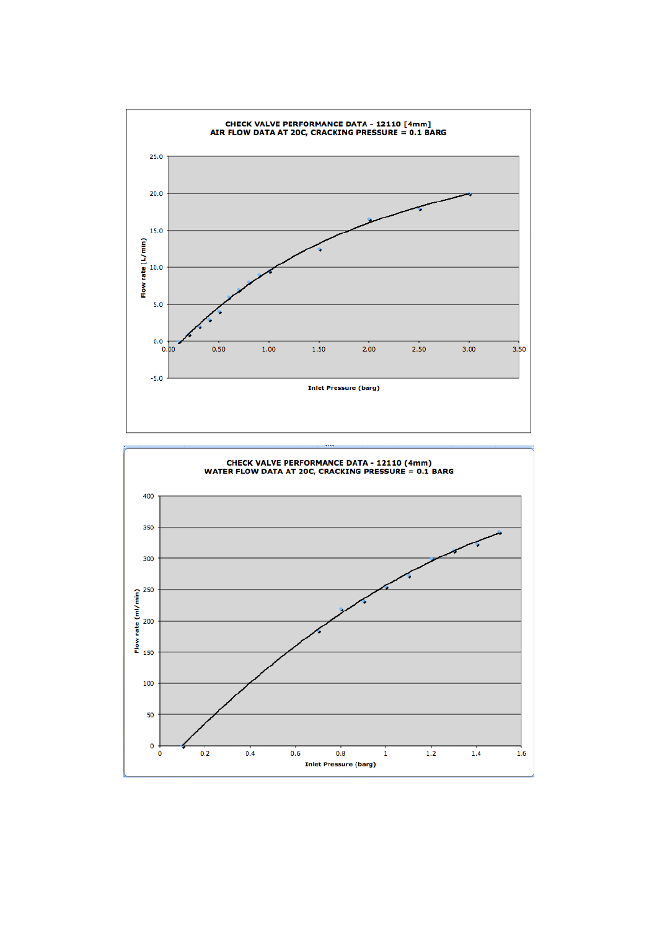